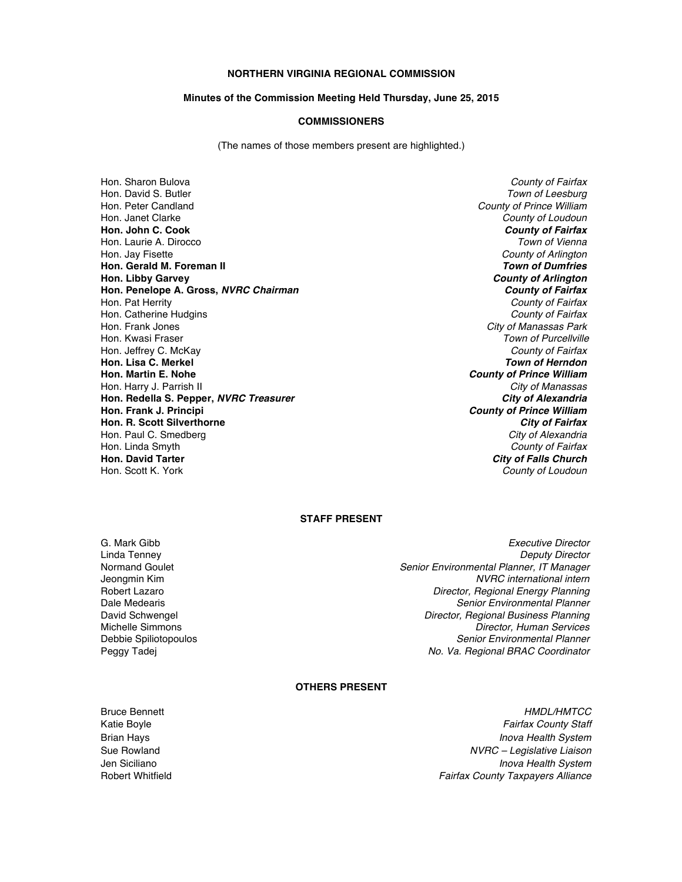#### **NORTHERN VIRGINIA REGIONAL COMMISSION**

### **Minutes of the Commission Meeting Held Thursday, June 25, 2015**

#### **COMMISSIONERS**

(The names of those members present are highlighted.)

Hon. Sharon Bulova *County of Fairfax* Hon. David S. Butler *Town of Leesburg* Hon. Peter Candland *County of Prince William* Hon. Janet Clarke *County of Loudoun* **Hon. John C. Cook** *County of Fairfax* Hon. Laurie A. Dirocco *Town of Vienna* Hon. Jay Fisette *County of Arlington* **Hon. Gerald M. Foreman II** *Town of Dumfries* **Hon. Libby Garvey** *County of Arlington* **Hon. Penelope A. Gross,** *NVRC Chairman County of Fairfax* Hon. Pat Herrity *County of Fairfax* Hon. Catherine Hudgins *County of Fairfax* Hon. Frank Jones *City of Manassas Park* Hon. Kwasi Fraser *Town of Purcellville* Hon. Jeffrey C. McKay *County of Fairfax* **Hon. Lisa C. Merkel Hon. Martin E. Nohe** *County of Prince William* Hon. Harry J. Parrish II *City of Manassas* **Hon. Redella S. Pepper,** *NVRC Treasurer* **Hon. Frank J. Principi** *County of Prince William* **Hon. R. Scott Silverthorne** *City of Fairfax* Hon. Paul C. Smedberg *City of Alexandria* Hon. Linda Smyth *County of Fairfax* **Hon. David Tarter** *City of Falls Church*

**County of Loudoun** 

# **STAFF PRESENT**

Michelle Simmons Debbie Spiliotopoulos Peggy Tadej

G. Mark Gibb *Executive Director* Linda Tenney *Deputy Director* Normand Goulet *Senior Environmental Planner, IT Manager* Jeongmin Kim *NVRC international intern* Robert Lazaro *Director, Regional Energy Planning* Dale Medearis *Senior Environmental Planner* David Schwengel *Director, Regional Business Planning Director, Human Services Senior Environmental Planner No. Va. Regional BRAC Coordinator*

# **OTHERS PRESENT**

Jen Siciliano Robert Whitfield

Bruce Bennett *HMDL/HMTCC* Katie Boyle *Fairfax County Staff* Brian Hays *Inova Health System* Sue Rowland *NVRC – Legislative Liaison Inova Health System Fairfax County Taxpayers Alliance*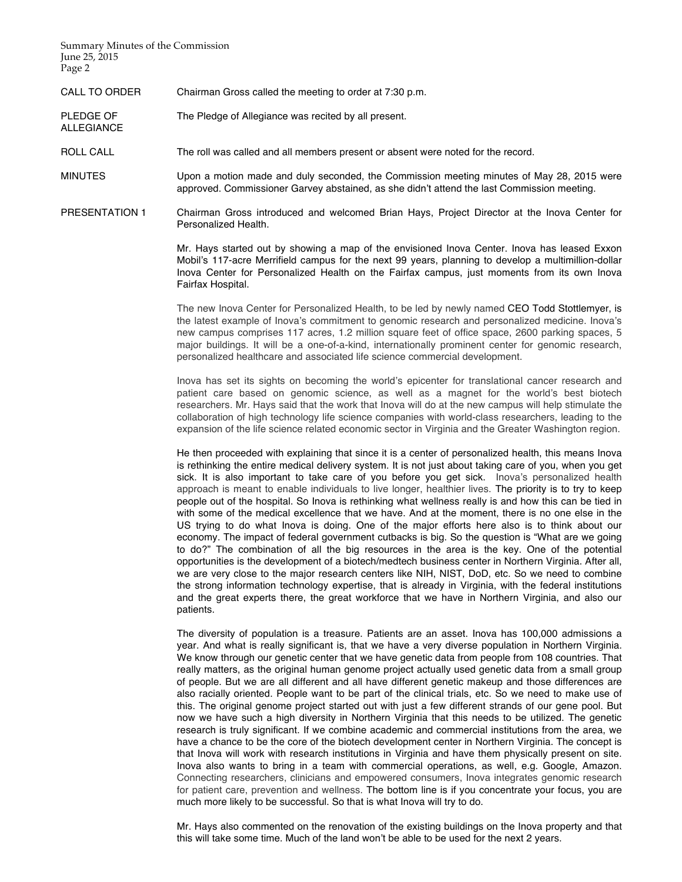Summary Minutes of the Commission June 25, 2015 Page 2

ALLEGIANCE

CALL TO ORDER Chairman Gross called the meeting to order at 7:30 p.m.

PLEDGE OF The Pledge of Allegiance was recited by all present.

ROLL CALL The roll was called and all members present or absent were noted for the record.

MINUTES Upon a motion made and duly seconded, the Commission meeting minutes of May 28, 2015 were approved. Commissioner Garvey abstained, as she didn't attend the last Commission meeting.

PRESENTATION 1 Chairman Gross introduced and welcomed Brian Hays, Project Director at the Inova Center for Personalized Health.

> Mr. Hays started out by showing a map of the envisioned Inova Center. Inova has leased Exxon Mobil's 117-acre Merrifield campus for the next 99 years, planning to develop a multimillion-dollar Inova Center for Personalized Health on the Fairfax campus, just moments from its own Inova Fairfax Hospital.

> The new Inova Center for Personalized Health, to be led by newly named CEO Todd Stottlemyer, is the latest example of Inova's commitment to genomic research and personalized medicine. Inova's new campus comprises 117 acres, 1.2 million square feet of office space, 2600 parking spaces, 5 major buildings. It will be a one-of-a-kind, internationally prominent center for genomic research, personalized healthcare and associated life science commercial development.

> Inova has set its sights on becoming the world's epicenter for translational cancer research and patient care based on genomic science, as well as a magnet for the world's best biotech researchers. Mr. Hays said that the work that Inova will do at the new campus will help stimulate the collaboration of high technology life science companies with world-class researchers, leading to the expansion of the life science related economic sector in Virginia and the Greater Washington region.

> He then proceeded with explaining that since it is a center of personalized health, this means Inova is rethinking the entire medical delivery system. It is not just about taking care of you, when you get sick. It is also important to take care of you before you get sick. Inova's personalized health approach is meant to enable individuals to live longer, healthier lives. The priority is to try to keep people out of the hospital. So Inova is rethinking what wellness really is and how this can be tied in with some of the medical excellence that we have. And at the moment, there is no one else in the US trying to do what Inova is doing. One of the major efforts here also is to think about our economy. The impact of federal government cutbacks is big. So the question is "What are we going to do?" The combination of all the big resources in the area is the key. One of the potential opportunities is the development of a biotech/medtech business center in Northern Virginia. After all, we are very close to the major research centers like NIH, NIST, DoD, etc. So we need to combine the strong information technology expertise, that is already in Virginia, with the federal institutions and the great experts there, the great workforce that we have in Northern Virginia, and also our patients.

> The diversity of population is a treasure. Patients are an asset. Inova has 100,000 admissions a year. And what is really significant is, that we have a very diverse population in Northern Virginia. We know through our genetic center that we have genetic data from people from 108 countries. That really matters, as the original human genome project actually used genetic data from a small group of people. But we are all different and all have different genetic makeup and those differences are also racially oriented. People want to be part of the clinical trials, etc. So we need to make use of this. The original genome project started out with just a few different strands of our gene pool. But now we have such a high diversity in Northern Virginia that this needs to be utilized. The genetic research is truly significant. If we combine academic and commercial institutions from the area, we have a chance to be the core of the biotech development center in Northern Virginia. The concept is that Inova will work with research institutions in Virginia and have them physically present on site. Inova also wants to bring in a team with commercial operations, as well, e.g. Google, Amazon. Connecting researchers, clinicians and empowered consumers, Inova integrates genomic research for patient care, prevention and wellness. The bottom line is if you concentrate your focus, you are much more likely to be successful. So that is what Inova will try to do.

> Mr. Hays also commented on the renovation of the existing buildings on the Inova property and that this will take some time. Much of the land won't be able to be used for the next 2 years.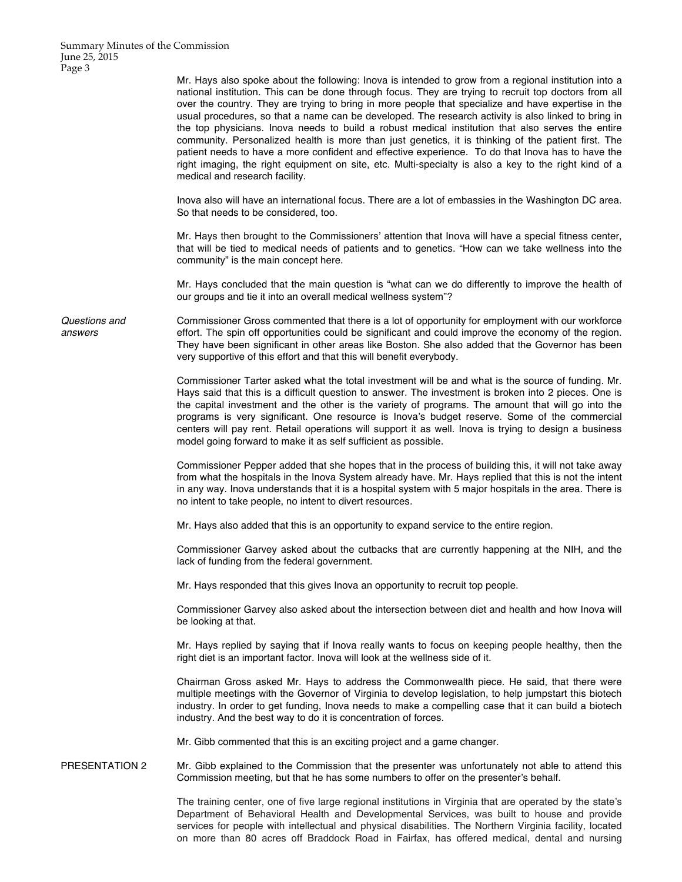| Mr. Hays also spoke about the following: lnova is intended to grow from a regional institution into a |
|-------------------------------------------------------------------------------------------------------|
| national institution. This can be done through focus. They are trying to recruit top doctors from all |
| over the country. They are trying to bring in more people that specialize and have expertise in the   |
| usual procedures, so that a name can be developed. The research activity is also linked to bring in   |
| the top physicians. Inova needs to build a robust medical institution that also serves the entire     |
| community. Personalized health is more than just genetics, it is thinking of the patient first. The   |
| patient needs to have a more confident and effective experience. To do that lnova has to have the     |
| right imaging, the right equipment on site, etc. Multi-specialty is also a key to the right kind of a |
| medical and research facility.                                                                        |

Inova also will have an international focus. There are a lot of embassies in the Washington DC area. So that needs to be considered, too.

Mr. Hays then brought to the Commissioners' attention that Inova will have a special fitness center, that will be tied to medical needs of patients and to genetics. "How can we take wellness into the community" is the main concept here.

Mr. Hays concluded that the main question is "what can we do differently to improve the health of our groups and tie it into an overall medical wellness system"?

*Questions and answers* Commissioner Gross commented that there is a lot of opportunity for employment with our workforce effort. The spin off opportunities could be significant and could improve the economy of the region. They have been significant in other areas like Boston. She also added that the Governor has been very supportive of this effort and that this will benefit everybody.

> Commissioner Tarter asked what the total investment will be and what is the source of funding. Mr. Hays said that this is a difficult question to answer. The investment is broken into 2 pieces. One is the capital investment and the other is the variety of programs. The amount that will go into the programs is very significant. One resource is Inova's budget reserve. Some of the commercial centers will pay rent. Retail operations will support it as well. Inova is trying to design a business model going forward to make it as self sufficient as possible.

> Commissioner Pepper added that she hopes that in the process of building this, it will not take away from what the hospitals in the Inova System already have. Mr. Hays replied that this is not the intent in any way. Inova understands that it is a hospital system with 5 major hospitals in the area. There is no intent to take people, no intent to divert resources.

Mr. Hays also added that this is an opportunity to expand service to the entire region.

Commissioner Garvey asked about the cutbacks that are currently happening at the NIH, and the lack of funding from the federal government.

Mr. Hays responded that this gives Inova an opportunity to recruit top people.

Commissioner Garvey also asked about the intersection between diet and health and how Inova will be looking at that.

Mr. Hays replied by saying that if Inova really wants to focus on keeping people healthy, then the right diet is an important factor. Inova will look at the wellness side of it.

Chairman Gross asked Mr. Hays to address the Commonwealth piece. He said, that there were multiple meetings with the Governor of Virginia to develop legislation, to help jumpstart this biotech industry. In order to get funding, Inova needs to make a compelling case that it can build a biotech industry. And the best way to do it is concentration of forces.

Mr. Gibb commented that this is an exciting project and a game changer.

PRESENTATION 2 Mr. Gibb explained to the Commission that the presenter was unfortunately not able to attend this Commission meeting, but that he has some numbers to offer on the presenter's behalf.

> The training center, one of five large regional institutions in Virginia that are operated by the state's Department of Behavioral Health and Developmental Services, was built to house and provide services for people with intellectual and physical disabilities. The Northern Virginia facility, located on more than 80 acres off Braddock Road in Fairfax, has offered medical, dental and nursing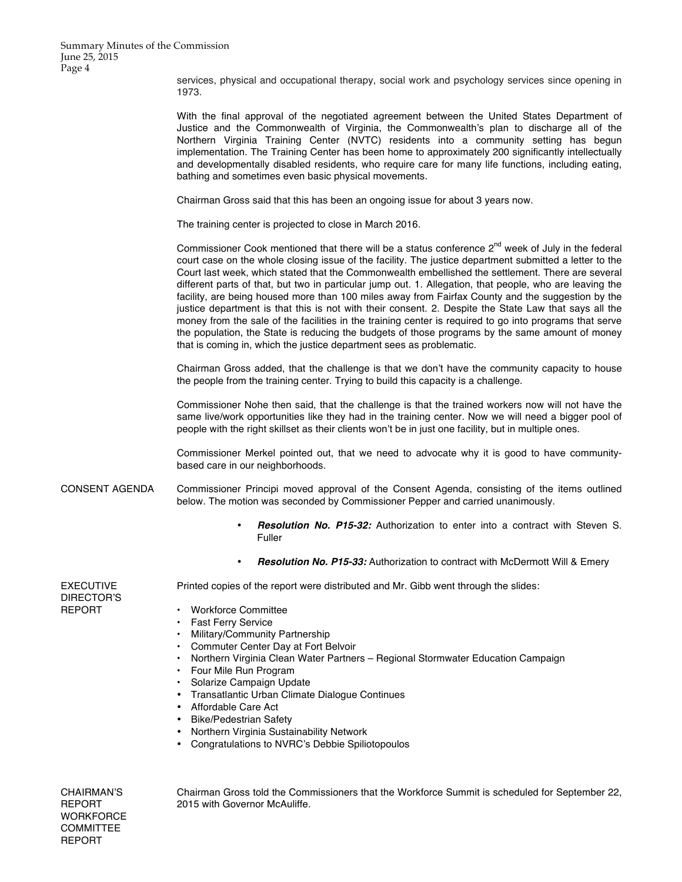services, physical and occupational therapy, social work and psychology services since opening in 1973.

With the final approval of the negotiated agreement between the United States Department of Justice and the Commonwealth of Virginia, the Commonwealth's plan to discharge all of the Northern Virginia Training Center (NVTC) residents into a community setting has begun implementation. The Training Center has been home to approximately 200 significantly intellectually and developmentally disabled residents, who require care for many life functions, including eating, bathing and sometimes even basic physical movements.

Chairman Gross said that this has been an ongoing issue for about 3 years now.

The training center is projected to close in March 2016.

Commissioner Cook mentioned that there will be a status conference  $2<sup>nd</sup>$  week of July in the federal court case on the whole closing issue of the facility. The justice department submitted a letter to the Court last week, which stated that the Commonwealth embellished the settlement. There are several different parts of that, but two in particular jump out. 1. Allegation, that people, who are leaving the facility, are being housed more than 100 miles away from Fairfax County and the suggestion by the justice department is that this is not with their consent. 2. Despite the State Law that says all the money from the sale of the facilities in the training center is required to go into programs that serve the population, the State is reducing the budgets of those programs by the same amount of money that is coming in, which the justice department sees as problematic.

Chairman Gross added, that the challenge is that we don't have the community capacity to house the people from the training center. Trying to build this capacity is a challenge.

Commissioner Nohe then said, that the challenge is that the trained workers now will not have the same live/work opportunities like they had in the training center. Now we will need a bigger pool of people with the right skillset as their clients won't be in just one facility, but in multiple ones.

Commissioner Merkel pointed out, that we need to advocate why it is good to have communitybased care in our neighborhoods.

- CONSENT AGENDA Commissioner Principi moved approval of the Consent Agenda, consisting of the items outlined below. The motion was seconded by Commissioner Pepper and carried unanimously.
	- *Resolution No. P15-32:* Authorization to enter into a contract with Steven S. Fuller
	- *Resolution No. P15-33:* Authorization to contract with McDermott Will & Emery

**EXECUTIVE** DIRECTOR'S REPORT

- Workforce Committee
- Fast Ferry Service
- Military/Community Partnership
- Commuter Center Day at Fort Belvoir
- Northern Virginia Clean Water Partners Regional Stormwater Education Campaign

Printed copies of the report were distributed and Mr. Gibb went through the slides:

- Four Mile Run Program
- Solarize Campaign Update
- Transatlantic Urban Climate Dialogue Continues
- Affordable Care Act
- Bike/Pedestrian Safety
- Northern Virginia Sustainability Network
- Congratulations to NVRC's Debbie Spiliotopoulos

CHAIRMAN'S REPORT **WORKFORCE COMMITTEE** REPORT

Chairman Gross told the Commissioners that the Workforce Summit is scheduled for September 22, 2015 with Governor McAuliffe.